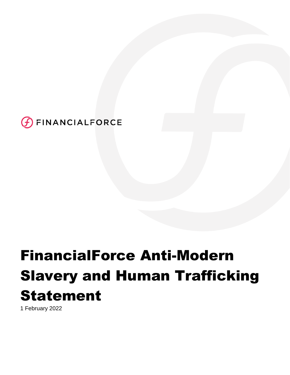

# FinancialForce Anti-Modern Slavery and Human Trafficking Statement

1 February 2022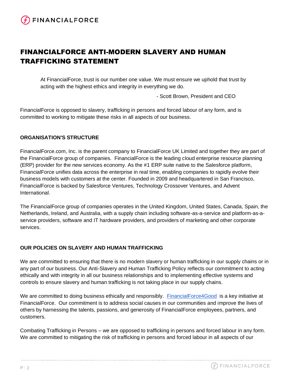# FINANCIALFORCE ANTI-MODERN SLAVERY AND HUMAN TRAFFICKING STATEMENT

At FinancialForce, trust is our number one value. We must ensure we uphold that trust by acting with the highest ethics and integrity in everything we do.

- Scott Brown, President and CEO

FinancialForce is opposed to slavery, trafficking in persons and forced labour of any form, and is committed to working to mitigate these risks in all aspects of our business.

# **ORGANISATION'S STRUCTURE**

FinancialForce.com, Inc. is the parent company to FinancialForce UK Limited and together they are part of the FinancialForce group of companies. FinancialForce is the leading cloud enterprise resource planning (ERP) provider for the new services economy. As the #1 ERP suite native to the Salesforce platform, FinancialForce unifies data across the enterprise in real time, enabling companies to rapidly evolve their business models with customers at the center. Founded in 2009 and headquartered in San Francisco, FinancialForce is backed by Salesforce Ventures, Technology Crossover Ventures, and Advent International.

The FinancialForce group of companies operates in the United Kingdom, United States, Canada, Spain, the Netherlands, Ireland, and Australia, with a supply chain including software-as-a-service and platform-as-aservice providers, software and IT hardware providers, and providers of marketing and other corporate services.

# **OUR POLICIES ON SLAVERY AND HUMAN TRAFFICKING**

We are committed to ensuring that there is no modern slavery or human trafficking in our supply chains or in any part of our business. Our Anti-Slavery and Human Trafficking Policy reflects our commitment to acting ethically and with integrity in all our business relationships and to implementing effective systems and controls to ensure slavery and human trafficking is not taking place in our supply chains.

We are committed to doing business ethically and responsibly. [FinancialForce4Good](https://www.financialforce.com/about/careers/) is a key initiative at FinancialForce. Our commitment is to address social causes in our communities and improve the lives of others by harnessing the talents, passions, and generosity of FinancialForce employees, partners, and customers.

Combating Trafficking in Persons – we are opposed to trafficking in persons and forced labour in any form. We are committed to mitigating the risk of trafficking in persons and forced labour in all aspects of our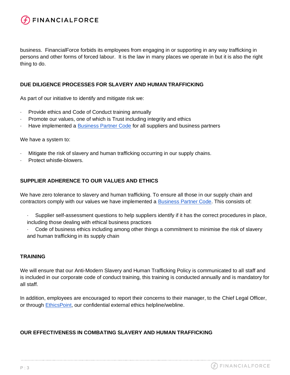

business. FinancialForce forbids its employees from engaging in or supporting in any way trafficking in persons and other forms of forced labour. It is the law in many places we operate in but it is also the right thing to do.

#### **DUE DILIGENCE PROCESSES FOR SLAVERY AND HUMAN TRAFFICKING**

As part of our initiative to identify and mitigate risk we:

- · Provide ethics and Code of Conduct training annually
- Promote our values, one of which is Trust including integrity and ethics
- · Have implemented a [Business Partner Code](https://www.financialforce.com/legal/) for all suppliers and business partners

We have a system to:

- · Mitigate the risk of slavery and human trafficking occurring in our supply chains.
- Protect whistle-blowers.

#### **SUPPLIER ADHERENCE TO OUR VALUES AND ETHICS**

We have zero tolerance to slavery and human trafficking. To ensure all those in our supply chain and contractors comply with our values we have implemented a [Business Partner](https://www.financialforce.com/legal/) [Code.](https://www.financialforce.com/legal/) This consists of:

- · Supplier self-assessment questions to help suppliers identify if it has the correct procedures in place, including those dealing with ethical business practices
- Code of business ethics including among other things a commitment to minimise the risk of slavery and human trafficking in its supply chain

#### **TRAINING**

We will ensure that our Anti-Modern Slavery and Human Trafficking Policy is communicated to all staff and is included in our corporate code of conduct training, this training is conducted annually and is mandatory for all staff.

In addition, employees are encouraged to report their concerns to their manager, to the Chief Legal Officer, or through [EthicsPoint,](https://secure.ethicspoint.com/domain/media/en/gui/51230/index.html) our confidential external ethics helpline/webline.

# **OUR EFFECTIVENESS IN COMBATING SLAVERY AND HUMAN TRAFFICKING**